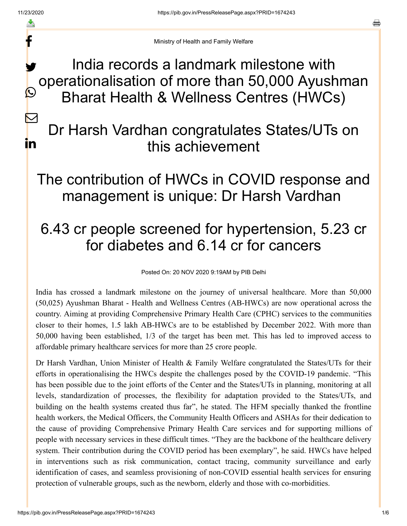f

 $\mathbf{C}$ 

 $\bm{\mathsf{K}}$ 

in

a

Ministry of Health and Family Welfare

India records a landmark milestone with operationalisation of more than 50,000 Ayushman Bharat Health & Wellness Centres (HWCs) y.

# Dr Harsh Vardhan congratulates States/UTs on this achievement

### The contribution of HWCs in COVID response and management is unique: Dr Harsh Vardhan

# 6.43 cr people screened for hypertension, 5.23 cr for diabetes and 6.14 cr for cancers

Posted On: 20 NOV 2020 9:19AM by PIB Delhi

India has crossed a landmark milestone on the journey of universal healthcare. More than 50,000 (50,025) Ayushman Bharat - Health and Wellness Centres (AB-HWCs) are now operational across the country. Aiming at providing Comprehensive Primary Health Care (CPHC) services to the communities closer to their homes, 1.5 lakh AB-HWCs are to be established by December 2022. With more than 50,000 having been established, 1/3 of the target has been met. This has led to improved access to affordable primary healthcare services for more than 25 crore people.

Dr Harsh Vardhan, Union Minister of Health & Family Welfare congratulated the States/UTs for their efforts in operationalising the HWCs despite the challenges posed by the COVID-19 pandemic. "This has been possible due to the joint efforts of the Center and the States/UTs in planning, monitoring at all levels, standardization of processes, the flexibility for adaptation provided to the States/UTs, and building on the health systems created thus far", he stated. The HFM specially thanked the frontline health workers, the Medical Officers, the Community Health Officers and ASHAs for their dedication to the cause of providing Comprehensive Primary Health Care services and for supporting millions of people with necessary services in these difficult times. "They are the backbone of the healthcare delivery system. Their contribution during the COVID period has been exemplary", he said. HWCs have helped in interventions such as risk communication, contact tracing, community surveillance and early identification of cases, and seamless provisioning of non-COVID essential health services for ensuring protection of vulnerable groups, such as the newborn, elderly and those with co-morbidities.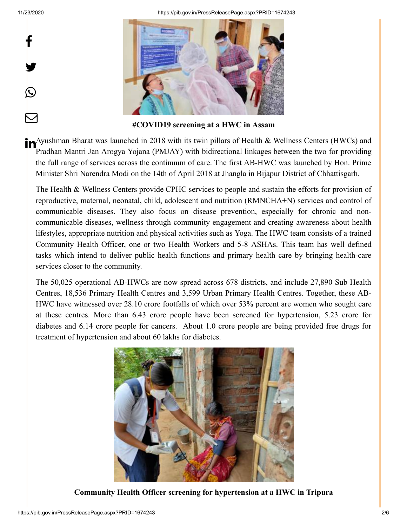f

y.

 $\bigcirc$ 

 $\bm{\nabla}$ 

11/23/2020 https://pib.gov.in/PressReleasePage.aspx?PRID=1674243



**#COVID19 screening at a HWC in Assam**

**T**<br>Ayushman Bharat was launched in 2018 with its twin pillars of Health & Wellness Centers (HWCs) and<br>All the contract of the contract of the contract of the contract of the contract of the contract of the contract of the Pradhan Mantri Jan Arogya Yojana (PMJAY) with bidirectional linkages between the two for providing the full range of services across the continuum of care. The first AB-HWC was launched by Hon. Prime Minister Shri Narendra Modi on the 14th of April 2018 at Jhangla in Bijapur District of Chhattisgarh.

The Health & Wellness Centers provide CPHC services to people and sustain the efforts for provision of reproductive, maternal, neonatal, child, adolescent and nutrition (RMNCHA+N) services and control of communicable diseases. They also focus on disease prevention, especially for chronic and noncommunicable diseases, wellness through community engagement and creating awareness about health lifestyles, appropriate nutrition and physical activities such as Yoga. The HWC team consists of a trained Community Health Officer, one or two Health Workers and 5-8 ASHAs. This team has well defined tasks which intend to deliver public health functions and primary health care by bringing health-care services closer to the community.

The 50,025 operational AB-HWCs are now spread across 678 districts, and include 27,890 Sub Health Centres, 18,536 Primary Health Centres and 3,599 Urban Primary Health Centres. Together, these AB-HWC have witnessed over 28.10 crore footfalls of which over 53% percent are women who sought care at these centres. More than 6.43 crore people have been screened for hypertension, 5.23 crore for diabetes and 6.14 crore people for cancers. About 1.0 crore people are being provided free drugs for treatment of hypertension and about 60 lakhs for diabetes.



**Community Health Officer screening for hypertension at a HWC in Tripura**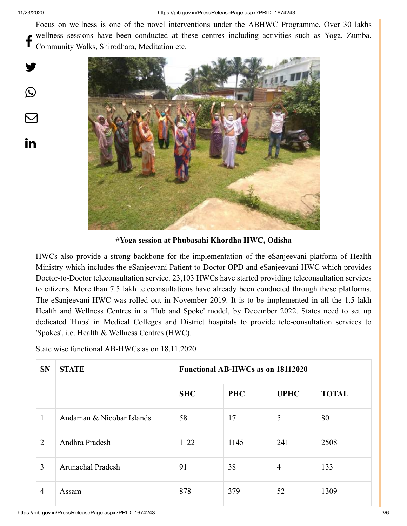y.

 $\bigcirc$ 

 $\color{red} \blacktriangleright$ 

in

Focus on wellness is one of the novel interventions under the ABHWC Programme. Over 30 lakhs wellness sessions have been conducted at these centres including activities such as Yoga, Zumba, Community Walks, Shirodhara, Meditation etc. f



#**Yoga session at Phubasahi Khordha HWC, Odisha**

HWCs also provide a strong backbone for the implementation of the eSanjeevani platform of Health Ministry which includes the eSanjeevani Patient-to-Doctor OPD and eSanjeevani-HWC which provides Doctor-to-Doctor teleconsultation service. 23,103 HWCs have started providing teleconsultation services to citizens. More than 7.5 lakh teleconsultations have already been conducted through these platforms. The eSanjeevani-HWC was rolled out in November 2019. It is to be implemented in all the 1.5 lakh Health and Wellness Centres in a 'Hub and Spoke' model, by December 2022. States need to set up dedicated 'Hubs' in Medical Colleges and District hospitals to provide tele-consultation services to 'Spokes', i.e. Health & Wellness Centres (HWC).

State wise functional AB-HWCs as on 18.11.2020

| <b>SN</b>      | <b>STATE</b>              | <b>Functional AB-HWCs as on 18112020</b> |            |                |              |  |
|----------------|---------------------------|------------------------------------------|------------|----------------|--------------|--|
|                |                           | <b>SHC</b>                               | <b>PHC</b> | <b>UPHC</b>    | <b>TOTAL</b> |  |
| $\mathbf{1}$   | Andaman & Nicobar Islands | 58                                       | 17         | 5              | 80           |  |
| 2              | Andhra Pradesh            | 1122                                     | 1145       | 241            | 2508         |  |
| 3              | Arunachal Pradesh         | 91                                       | 38         | $\overline{4}$ | 133          |  |
| $\overline{4}$ | Assam                     | 878                                      | 379        | 52             | 1309         |  |

https://pib.gov.in/PressReleasePage.aspx?PRID=1674243 3/6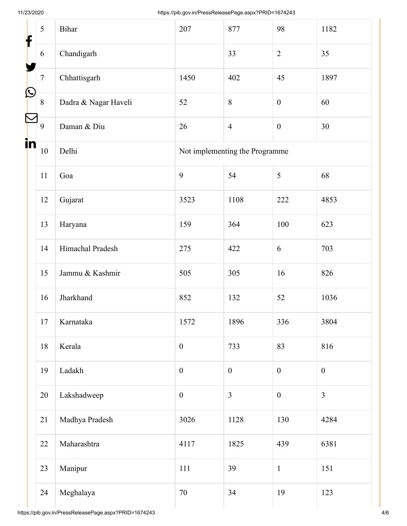| f                     | 5       | Bihar                | 207                            | 877              | 98               | 1182             |  |
|-----------------------|---------|----------------------|--------------------------------|------------------|------------------|------------------|--|
|                       | 6       | Chandigarh           |                                | 33               | $\overline{2}$   | 35               |  |
|                       | $\tau$  | Chhattisgarh         | 1450                           | 402              | 45               | 1897             |  |
| $\bigcirc$            | $\,8\,$ | Dadra & Nagar Haveli | 52                             | 8                | $\boldsymbol{0}$ | 60               |  |
| $\boldsymbol{\nabla}$ | 9       | Daman & Diu          | 26                             | $\overline{4}$   | $\boldsymbol{0}$ | 30               |  |
| in                    | $10\,$  | Delhi                | Not implementing the Programme |                  |                  |                  |  |
|                       | 11      | Goa                  | 9                              | 54               | $\mathfrak s$    | 68               |  |
|                       | 12      | Gujarat              | 3523                           | 1108             | 222              | 4853             |  |
|                       | 13      | Haryana              | 159                            | 364              | 100              | 623              |  |
|                       | 14      | Himachal Pradesh     | 275                            | 422              | 6                | 703              |  |
|                       | 15      | Jammu & Kashmir      | 505                            | 305              | 16               | 826              |  |
|                       | 16      | Jharkhand            | 852                            | 132              | 52               | 1036             |  |
|                       | 17      | Karnataka            | 1572                           | 1896             | 336              | 3804             |  |
|                       | 18      | Kerala               | $\boldsymbol{0}$               | 733              | 83               | 816              |  |
|                       | 19      | Ladakh               | $\boldsymbol{0}$               | $\boldsymbol{0}$ | $\boldsymbol{0}$ | $\boldsymbol{0}$ |  |
|                       | 20      | Lakshadweep          | $\boldsymbol{0}$               | $\overline{3}$   | $\boldsymbol{0}$ | $\overline{3}$   |  |
|                       | 21      | Madhya Pradesh       | 3026                           | 1128             | 130              | 4284             |  |
|                       | 22      | Maharashtra          | 4117                           | 1825             | 439              | 6381             |  |
|                       | 23      | Manipur              | 111                            | 39               | $\mathbf 1$      | 151              |  |
|                       | 24      | Meghalaya            | 70                             | 34               | 19               | 123              |  |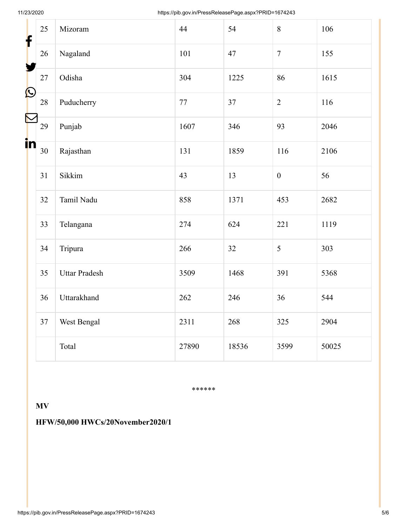| f                         | 25 | Mizoram              | 44     | 54    | 8                | 106   |
|---------------------------|----|----------------------|--------|-------|------------------|-------|
| y                         | 26 | Nagaland             | 101    | 47    | $\overline{7}$   | 155   |
|                           | 27 | Odisha               | 304    | 1225  | 86               | 1615  |
| $\boldsymbol{\mathsf{O}}$ | 28 | Puducherry           | $77\,$ | 37    | $\overline{2}$   | 116   |
|                           | 29 | Punjab               | 1607   | 346   | 93               | 2046  |
| in                        | 30 | Rajasthan            | 131    | 1859  | 116              | 2106  |
|                           | 31 | Sikkim               | 43     | 13    | $\boldsymbol{0}$ | 56    |
|                           | 32 | Tamil Nadu           | 858    | 1371  | 453              | 2682  |
|                           | 33 | Telangana            | 274    | 624   | 221              | 1119  |
|                           | 34 | Tripura              | 266    | 32    | 5                | 303   |
|                           | 35 | <b>Uttar Pradesh</b> | 3509   | 1468  | 391              | 5368  |
|                           | 36 | Uttarakhand          | 262    | 246   | 36               | 544   |
|                           | 37 | West Bengal          | 2311   | 268   | 325              | 2904  |
|                           |    | Total                | 27890  | 18536 | 3599             | 50025 |

\*\*\*\*\*\*

#### **MV**

#### **HFW/50,000 HWCs/20November2020/1**